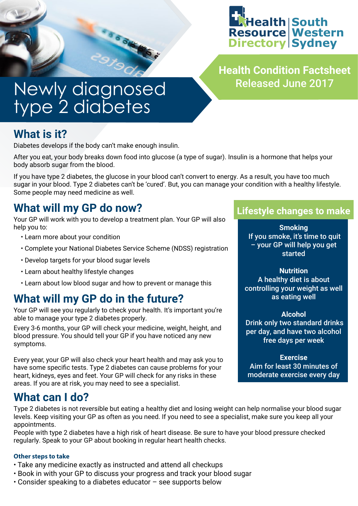

**Health Condition Factsheet** Released June 2017

# Newly diagnosed type 2 diabetes

## **What is it?**

Diabetes develops if the body can't make enough insulin.

After you eat, your body breaks down food into glucose (a type of sugar). Insulin is a hormone that helps your body absorb sugar from the blood.

If you have type 2 diabetes, the glucose in your blood can't convert to energy. As a result, you have too much sugar in your blood. Type 2 diabetes can't be 'cured'. But, you can manage your condition with a healthy lifestyle. Some people may need medicine as well.

### **What will my GP do now?**

Your GP will work with you to develop a treatment plan. Your GP will also help you to:

- Learn more about your condition
- Complete your National Diabetes Service Scheme (NDSS) registration
- Develop targets for your blood sugar levels
- Learn about healthy lifestyle changes
- Learn about low blood sugar and how to prevent or manage this

### **What will my GP do in the future?**

Your GP will see you regularly to check your health. It's important you're able to manage your type 2 diabetes properly.

Every 3-6 months, your GP will check your medicine, weight, height, and blood pressure. You should tell your GP if you have noticed any new symptoms.

Every year, your GP will also check your heart health and may ask you to have some specific tests. Type 2 diabetes can cause problems for your heart, kidneys, eyes and feet. Your GP will check for any risks in these areas. If you are at risk, you may need to see a specialist.

#### **What can I do?**

Type 2 diabetes is not reversible but eating a healthy diet and losing weight can help normalise your blood sugar levels. Keep visiting your GP as often as you need. If you need to see a specialist, make sure you keep all your appointments.

People with type 2 diabetes have a high risk of heart disease. Be sure to have your blood pressure checked regularly. Speak to your GP about booking in regular heart health checks.

#### **Other steps to take**

- Take any medicine exactly as instructed and attend all checkups
- Book in with your GP to discuss your progress and track your blood sugar
- Consider speaking to a diabetes educator see supports below

#### **Lifestyle changes to make**

**Smoking** If you smoke, it's time to quit – your GP will help you get started

**Nutrition** A healthy diet is about controlling your weight as well as eating well

#### **Alcohol**

 Drink only two standard drinks per day, and have two alcohol free days per week

**Exercise** Aim for least 30 minutes of moderate exercise every day